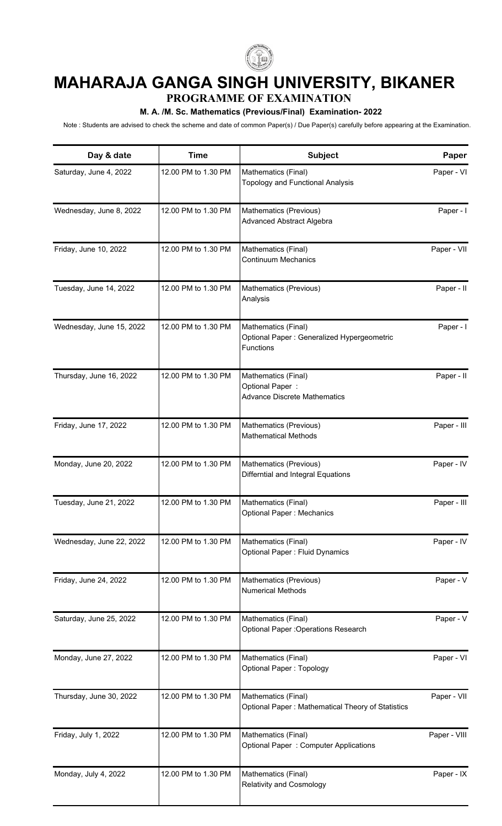

## **MAHARAJA GANGA SINGH UNIVERSITY, BIKANER**

**PROGRAMME OF EXAMINATION**

## **M. A. /M. Sc. Mathematics (Previous/Final) Examination- 2022**

Note : Students are advised to check the scheme and date of common Paper(s) / Due Paper(s) carefully before appearing at the Examination.

| Day & date               | <b>Time</b>         | Subject                                                                         | Paper        |
|--------------------------|---------------------|---------------------------------------------------------------------------------|--------------|
| Saturday, June 4, 2022   | 12.00 PM to 1.30 PM | Mathematics (Final)<br><b>Topology and Functional Analysis</b>                  | Paper - VI   |
| Wednesday, June 8, 2022  | 12.00 PM to 1.30 PM | Mathematics (Previous)<br><b>Advanced Abstract Algebra</b>                      | Paper - I    |
| Friday, June 10, 2022    | 12.00 PM to 1.30 PM | Mathematics (Final)<br><b>Continuum Mechanics</b>                               | Paper - VII  |
| Tuesday, June 14, 2022   | 12.00 PM to 1.30 PM | Mathematics (Previous)<br>Analysis                                              | Paper - II   |
| Wednesday, June 15, 2022 | 12.00 PM to 1.30 PM | Mathematics (Final)<br>Optional Paper : Generalized Hypergeometric<br>Functions | Paper - I    |
| Thursday, June 16, 2022  | 12.00 PM to 1.30 PM | Mathematics (Final)<br>Optional Paper:<br><b>Advance Discrete Mathematics</b>   | Paper - II   |
| Friday, June 17, 2022    | 12.00 PM to 1.30 PM | Mathematics (Previous)<br><b>Mathematical Methods</b>                           | Paper - III  |
| Monday, June 20, 2022    | 12.00 PM to 1.30 PM | Mathematics (Previous)<br>Differntial and Integral Equations                    | Paper - IV   |
| Tuesday, June 21, 2022   | 12.00 PM to 1.30 PM | Mathematics (Final)<br>Optional Paper: Mechanics                                | Paper - III  |
| Wednesday, June 22, 2022 | 12.00 PM to 1.30 PM | Mathematics (Final)<br><b>Optional Paper: Fluid Dynamics</b>                    | Paper - IV   |
| Friday, June 24, 2022    | 12.00 PM to 1.30 PM | Mathematics (Previous)<br><b>Numerical Methods</b>                              | Paper - V    |
| Saturday, June 25, 2022  | 12.00 PM to 1.30 PM | Mathematics (Final)<br><b>Optional Paper : Operations Research</b>              | Paper - V    |
| Monday, June 27, 2022    | 12.00 PM to 1.30 PM | Mathematics (Final)<br><b>Optional Paper: Topology</b>                          | Paper - VI   |
| Thursday, June 30, 2022  | 12.00 PM to 1.30 PM | Mathematics (Final)<br>Optional Paper: Mathematical Theory of Statistics        | Paper - VII  |
| Friday, July 1, 2022     | 12.00 PM to 1.30 PM | Mathematics (Final)<br><b>Optional Paper: Computer Applications</b>             | Paper - VIII |
| Monday, July 4, 2022     | 12.00 PM to 1.30 PM | Mathematics (Final)<br><b>Relativity and Cosmology</b>                          | Paper - IX   |